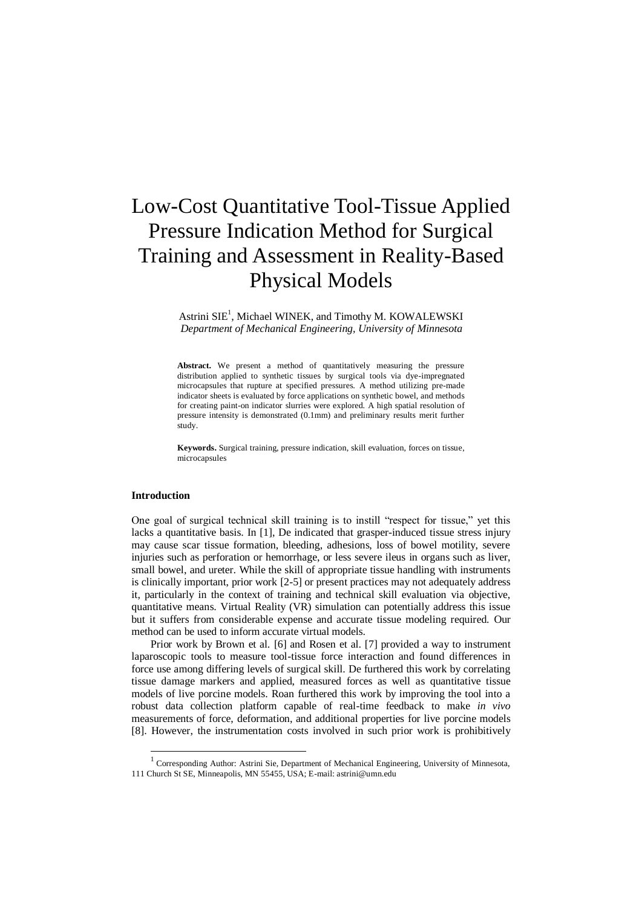# Low-Cost Quantitative Tool-Tissue Applied Pressure Indication Method for Surgical Training and Assessment in Reality-Based Physical Models

Astrini SIE<sup>1</sup>, Michael WINEK, and Timothy M. KOWALEWSKI *Department of Mechanical Engineering, University of Minnesota*

Abstract. We present a method of quantitatively measuring the pressure distribution applied to synthetic tissues by surgical tools via dye-impregnated microcapsules that rupture at specified pressures. A method utilizing pre-made indicator sheets is evaluated by force applications on synthetic bowel, and methods for creating paint-on indicator slurries were explored. A high spatial resolution of pressure intensity is demonstrated (0.1mm) and preliminary results merit further study.

**Keywords.** Surgical training, pressure indication, skill evaluation, forces on tissue, microcapsules

#### **Introduction**

-

One goal of surgical technical skill training is to instill "respect for tissue," yet this lacks a quantitative basis. In [1], De indicated that grasper-induced tissue stress injury may cause scar tissue formation, bleeding, adhesions, loss of bowel motility, severe injuries such as perforation or hemorrhage, or less severe ileus in organs such as liver, small bowel, and ureter. While the skill of appropriate tissue handling with instruments is clinically important, prior work [2-5] or present practices may not adequately address it, particularly in the context of training and technical skill evaluation via objective, quantitative means. Virtual Reality (VR) simulation can potentially address this issue but it suffers from considerable expense and accurate tissue modeling required. Our method can be used to inform accurate virtual models.

Prior work by Brown et al. [6] and Rosen et al. [7] provided a way to instrument laparoscopic tools to measure tool-tissue force interaction and found differences in force use among differing levels of surgical skill. De furthered this work by correlating tissue damage markers and applied, measured forces as well as quantitative tissue models of live porcine models. Roan furthered this work by improving the tool into a robust data collection platform capable of real-time feedback to make *in vivo*  measurements of force, deformation, and additional properties for live porcine models [8]. However, the instrumentation costs involved in such prior work is prohibitively

<sup>&</sup>lt;sup>1</sup> Corresponding Author: Astrini Sie, Department of Mechanical Engineering, University of Minnesota, 111 Church St SE, Minneapolis, MN 55455, USA; E-mail: astrini@umn.edu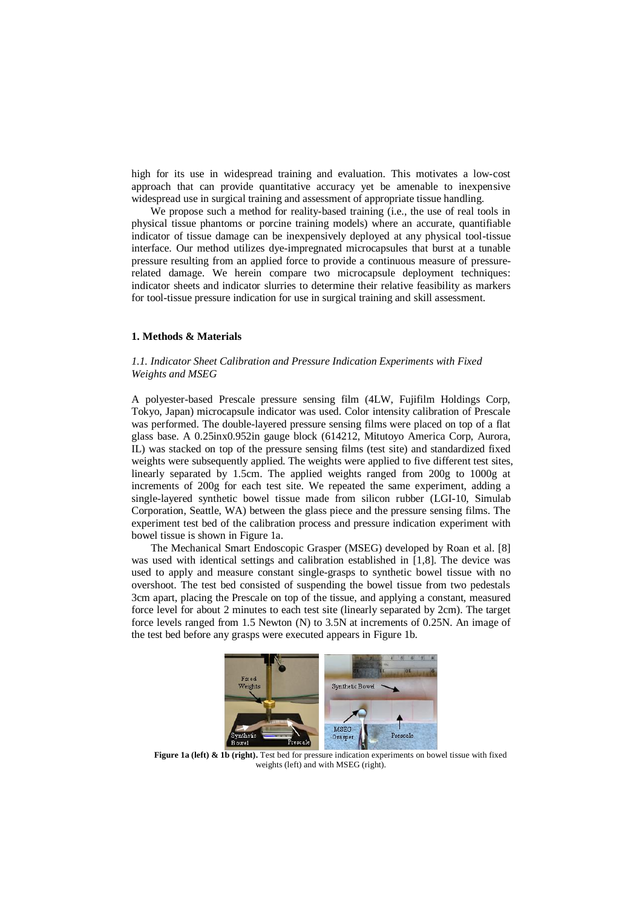high for its use in widespread training and evaluation. This motivates a low-cost approach that can provide quantitative accuracy yet be amenable to inexpensive widespread use in surgical training and assessment of appropriate tissue handling.

We propose such a method for reality-based training (i.e., the use of real tools in physical tissue phantoms or porcine training models) where an accurate, quantifiable indicator of tissue damage can be inexpensively deployed at any physical tool-tissue interface. Our method utilizes dye-impregnated microcapsules that burst at a tunable pressure resulting from an applied force to provide a continuous measure of pressurerelated damage. We herein compare two microcapsule deployment techniques: indicator sheets and indicator slurries to determine their relative feasibility as markers for tool-tissue pressure indication for use in surgical training and skill assessment.

## **1. Methods & Materials**

### *1.1. Indicator Sheet Calibration and Pressure Indication Experiments with Fixed Weights and MSEG*

A polyester-based Prescale pressure sensing film (4LW, Fujifilm Holdings Corp, Tokyo, Japan) microcapsule indicator was used. Color intensity calibration of Prescale was performed. The double-layered pressure sensing films were placed on top of a flat glass base. A 0.25inx0.952in gauge block (614212, Mitutoyo America Corp, Aurora, IL) was stacked on top of the pressure sensing films (test site) and standardized fixed weights were subsequently applied. The weights were applied to five different test sites, linearly separated by 1.5cm. The applied weights ranged from 200g to 1000g at increments of 200g for each test site. We repeated the same experiment, adding a single-layered synthetic bowel tissue made from silicon rubber (LGI-10, Simulab Corporation, Seattle, WA) between the glass piece and the pressure sensing films. The experiment test bed of the calibration process and pressure indication experiment with bowel tissue is shown in Figure 1a.

The Mechanical Smart Endoscopic Grasper (MSEG) developed by Roan et al. [8] was used with identical settings and calibration established in [1,8]. The device was used to apply and measure constant single-grasps to synthetic bowel tissue with no overshoot. The test bed consisted of suspending the bowel tissue from two pedestals 3cm apart, placing the Prescale on top of the tissue, and applying a constant, measured force level for about 2 minutes to each test site (linearly separated by 2cm). The target force levels ranged from 1.5 Newton (N) to 3.5N at increments of 0.25N. An image of the test bed before any grasps were executed appears in Figure 1b.



**Figure 1a (left) & 1b (right).** Test bed for pressure indication experiments on bowel tissue with fixed weights (left) and with MSEG (right).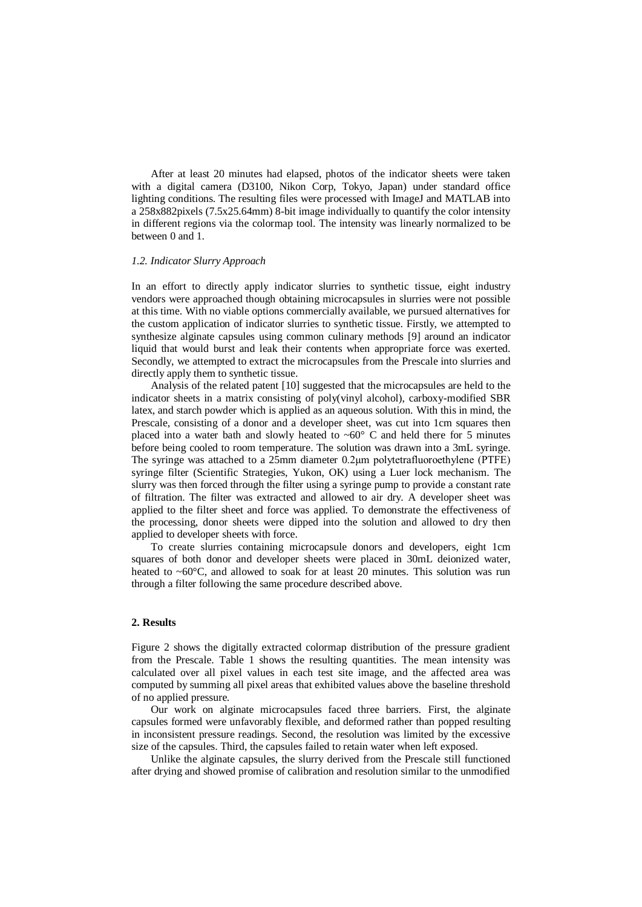After at least 20 minutes had elapsed, photos of the indicator sheets were taken with a digital camera (D3100, Nikon Corp, Tokyo, Japan) under standard office lighting conditions. The resulting files were processed with ImageJ and MATLAB into a 258x882pixels (7.5x25.64mm) 8-bit image individually to quantify the color intensity in different regions via the colormap tool. The intensity was linearly normalized to be between 0 and 1.

#### *1.2. Indicator Slurry Approach*

In an effort to directly apply indicator slurries to synthetic tissue, eight industry vendors were approached though obtaining microcapsules in slurries were not possible at this time. With no viable options commercially available, we pursued alternatives for the custom application of indicator slurries to synthetic tissue. Firstly, we attempted to synthesize alginate capsules using common culinary methods [9] around an indicator liquid that would burst and leak their contents when appropriate force was exerted. Secondly, we attempted to extract the microcapsules from the Prescale into slurries and directly apply them to synthetic tissue.

Analysis of the related patent [10] suggested that the microcapsules are held to the indicator sheets in a matrix consisting of poly(vinyl alcohol), carboxy-modified SBR latex, and starch powder which is applied as an aqueous solution. With this in mind, the Prescale, consisting of a donor and a developer sheet, was cut into 1cm squares then placed into a water bath and slowly heated to  $~60^{\circ}$  C and held there for 5 minutes before being cooled to room temperature. The solution was drawn into a 3mL syringe. The syringe was attached to a 25mm diameter 0.2μm polytetrafluoroethylene (PTFE) syringe filter (Scientific Strategies, Yukon, OK) using a Luer lock mechanism. The slurry was then forced through the filter using a syringe pump to provide a constant rate of filtration. The filter was extracted and allowed to air dry. A developer sheet was applied to the filter sheet and force was applied. To demonstrate the effectiveness of the processing, donor sheets were dipped into the solution and allowed to dry then applied to developer sheets with force.

To create slurries containing microcapsule donors and developers, eight 1cm squares of both donor and developer sheets were placed in 30mL deionized water, heated to  $~60^{\circ}$ C, and allowed to soak for at least 20 minutes. This solution was run through a filter following the same procedure described above.

#### **2. Results**

Figure 2 shows the digitally extracted colormap distribution of the pressure gradient from the Prescale. Table 1 shows the resulting quantities. The mean intensity was calculated over all pixel values in each test site image, and the affected area was computed by summing all pixel areas that exhibited values above the baseline threshold of no applied pressure.

Our work on alginate microcapsules faced three barriers. First, the alginate capsules formed were unfavorably flexible, and deformed rather than popped resulting in inconsistent pressure readings. Second, the resolution was limited by the excessive size of the capsules. Third, the capsules failed to retain water when left exposed.

Unlike the alginate capsules, the slurry derived from the Prescale still functioned after drying and showed promise of calibration and resolution similar to the unmodified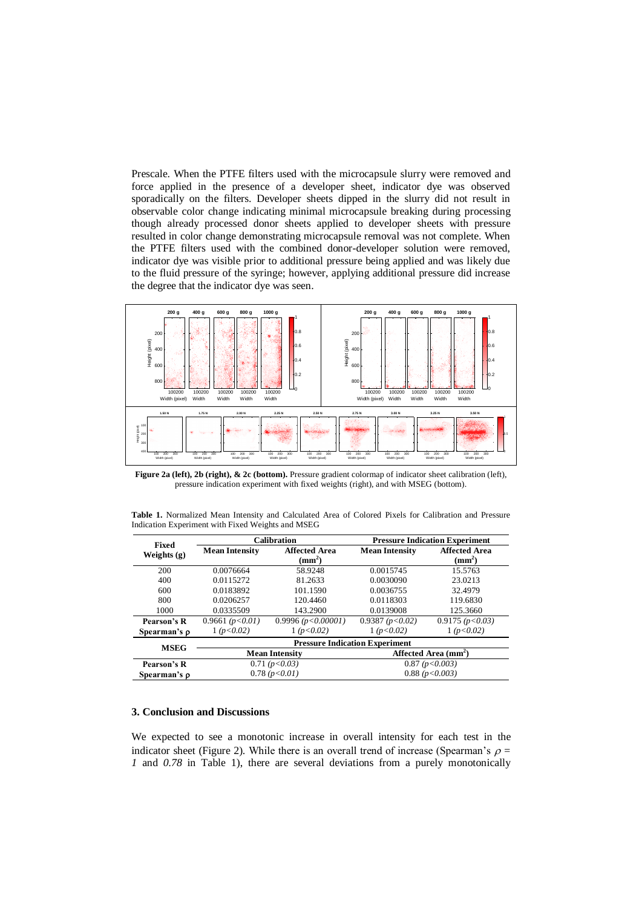Prescale. When the PTFE filters used with the microcapsule slurry were removed and force applied in the presence of a developer sheet, indicator dye was observed sporadically on the filters. Developer sheets dipped in the slurry did not result in observable color change indicating minimal microcapsule breaking during processing though already processed donor sheets applied to developer sheets with pressure resulted in color change demonstrating microcapsule removal was not complete. When the PTFE filters used with the combined donor-developer solution were removed, indicator dye was visible prior to additional pressure being applied and was likely due to the fluid pressure of the syringe; however, applying additional pressure did increase the degree that the indicator dye was seen.



Figure 2a (left), 2b (right), & 2c (bottom). Pressure gradient colormap of indicator sheet calibration (left), pressure indication experiment with fixed weights (right), and with MSEG (bottom).

| Table 1. Normalized Mean Intensity and Calculated Area of Colored Pixels for Calibration and Pressure |  |  |  |  |  |  |
|-------------------------------------------------------------------------------------------------------|--|--|--|--|--|--|
| Indication Experiment with Fixed Weights and MSEG                                                     |  |  |  |  |  |  |

| <b>Fixed</b>      |                                       | <b>Calibration</b>               | <b>Pressure Indication Experiment</b> |                                  |  |  |  |  |  |  |
|-------------------|---------------------------------------|----------------------------------|---------------------------------------|----------------------------------|--|--|--|--|--|--|
| Weights $(g)$     | <b>Mean Intensity</b>                 | <b>Affected Area</b><br>$(mm^2)$ | <b>Mean Intensity</b>                 | <b>Affected Area</b><br>$(mm^2)$ |  |  |  |  |  |  |
| 200               | 0.0076664                             | 58.9248                          | 0.0015745                             | 15.5763                          |  |  |  |  |  |  |
| 400               | 0.0115272                             | 81.2633                          | 0.0030090                             | 23.0213                          |  |  |  |  |  |  |
| 600               | 0.0183892                             | 101.1590                         | 0.0036755                             | 32.4979                          |  |  |  |  |  |  |
| 800               | 0.0206257                             | 120.4460                         | 0.0118303                             | 119.6830                         |  |  |  |  |  |  |
| 1000              | 0.0335509                             | 143.2900                         | 0.0139008                             | 125.3660                         |  |  |  |  |  |  |
| Pearson's R       | 0.9661 $(p<0.01)$                     | 0.9996 ( $p < 0.00001$ )         | 0.9387 $(p<0.02)$                     | 0.9175 (p<0.03)                  |  |  |  |  |  |  |
| Spearman's $\rho$ | 1 (p<0.02)                            | 1 (p<0.02)                       | 1 (p<0.02)                            | 1 (p < 0.02)                     |  |  |  |  |  |  |
|                   | <b>Pressure Indication Experiment</b> |                                  |                                       |                                  |  |  |  |  |  |  |
| <b>MSEG</b>       |                                       | <b>Mean Intensity</b>            | Affected Area (mm <sup>2</sup> )      |                                  |  |  |  |  |  |  |
| Pearson's R       |                                       | 0.71 (p<0.03)                    | 0.87 (p < 0.003)                      |                                  |  |  |  |  |  |  |
| Spearman's o      |                                       | 0.78(p<0.01)                     | 0.88(p<0.003)                         |                                  |  |  |  |  |  |  |

## **3. Conclusion and Discussions**

We expected to see a monotonic increase in overall intensity for each test in the indicator sheet (Figure 2). While there is an overall trend of increase (Spearman's  $\rho =$ *1* and *0.78* in Table 1), there are several deviations from a purely monotonically